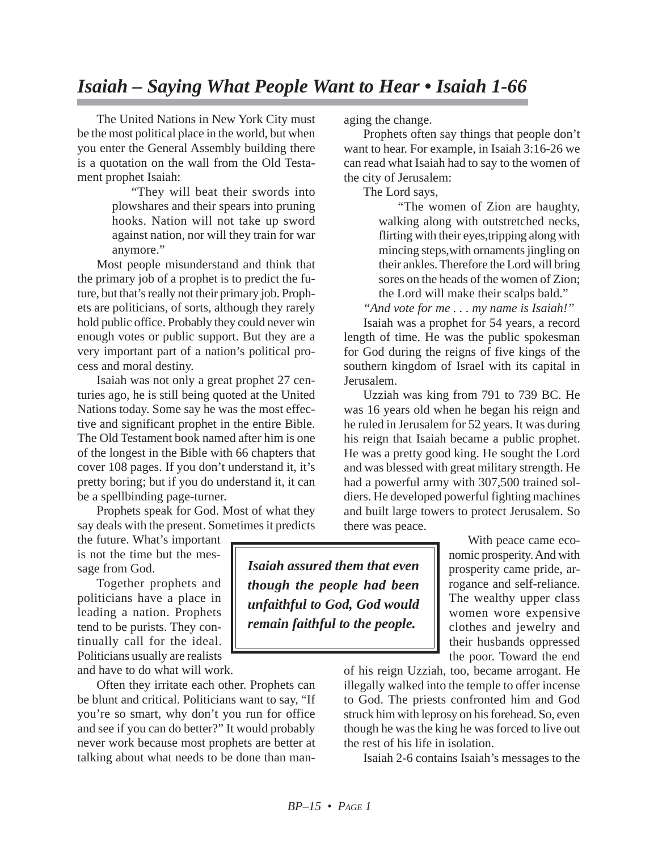## *Isaiah – Saying What People Want to Hear • Isaiah 1-66*

The United Nations in New York City must be the most political place in the world, but when you enter the General Assembly building there is a quotation on the wall from the Old Testament prophet Isaiah:

"They will beat their swords into plowshares and their spears into pruning hooks. Nation will not take up sword against nation, nor will they train for war anymore."

Most people misunderstand and think that the primary job of a prophet is to predict the future, but that's really not their primary job. Prophets are politicians, of sorts, although they rarely hold public office. Probably they could never win enough votes or public support. But they are a very important part of a nation's political process and moral destiny.

Isaiah was not only a great prophet 27 centuries ago, he is still being quoted at the United Nations today. Some say he was the most effective and significant prophet in the entire Bible. The Old Testament book named after him is one of the longest in the Bible with 66 chapters that cover 108 pages. If you don't understand it, it's pretty boring; but if you do understand it, it can be a spellbinding page-turner.

Prophets speak for God. Most of what they say deals with the present. Sometimes it predicts

the future. What's important is not the time but the message from God.

Together prophets and politicians have a place in leading a nation. Prophets tend to be purists. They continually call for the ideal. Politicians usually are realists and have to do what will work.

Often they irritate each other. Prophets can be blunt and critical. Politicians want to say, "If you're so smart, why don't you run for office and see if you can do better?" It would probably never work because most prophets are better at talking about what needs to be done than managing the change.

Prophets often say things that people don't want to hear. For example, in Isaiah 3:16-26 we can read what Isaiah had to say to the women of the city of Jerusalem:

The Lord says,

"The women of Zion are haughty, walking along with outstretched necks, flirting with their eyes,tripping along with mincing steps,with ornaments jingling on their ankles. Therefore the Lord will bring sores on the heads of the women of Zion; the Lord will make their scalps bald."

*"And vote for me . . . my name is Isaiah!"*

Isaiah was a prophet for 54 years, a record length of time. He was the public spokesman for God during the reigns of five kings of the southern kingdom of Israel with its capital in Jerusalem.

Uzziah was king from 791 to 739 BC. He was 16 years old when he began his reign and he ruled in Jerusalem for 52 years. It was during his reign that Isaiah became a public prophet. He was a pretty good king. He sought the Lord and was blessed with great military strength. He had a powerful army with 307,500 trained soldiers. He developed powerful fighting machines and built large towers to protect Jerusalem. So there was peace.

With peace came economic prosperity. And with prosperity came pride, arrogance and self-reliance. The wealthy upper class women wore expensive clothes and jewelry and their husbands oppressed the poor. Toward the end

of his reign Uzziah, too, became arrogant. He illegally walked into the temple to offer incense to God. The priests confronted him and God struck him with leprosy on his forehead. So, even though he was the king he was forced to live out the rest of his life in isolation.

Isaiah 2-6 contains Isaiah's messages to the

*Isaiah assured them that even though the people had been unfaithful to God, God would remain faithful to the people.*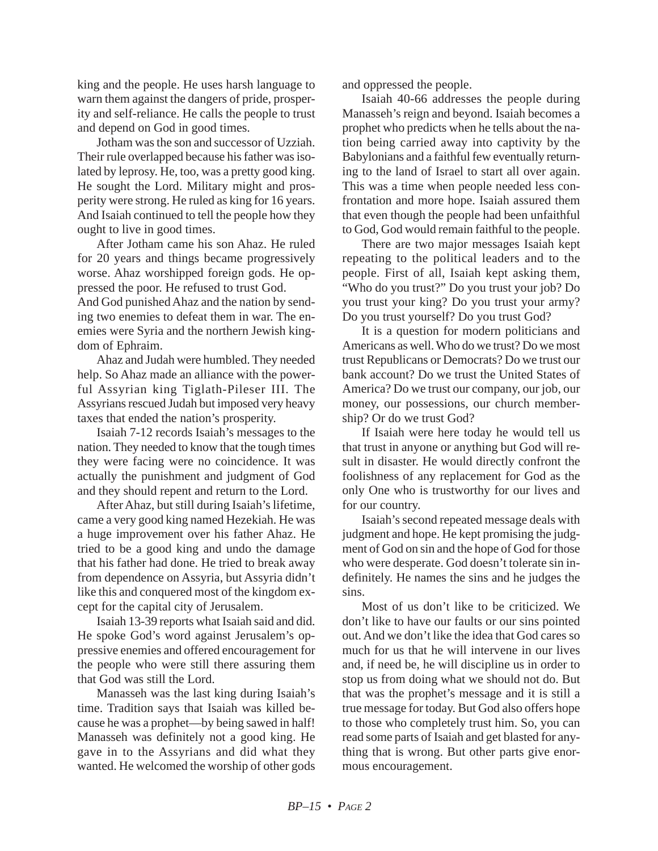king and the people. He uses harsh language to warn them against the dangers of pride, prosperity and self-reliance. He calls the people to trust and depend on God in good times.

Jotham was the son and successor of Uzziah. Their rule overlapped because his father was isolated by leprosy. He, too, was a pretty good king. He sought the Lord. Military might and prosperity were strong. He ruled as king for 16 years. And Isaiah continued to tell the people how they ought to live in good times.

After Jotham came his son Ahaz. He ruled for 20 years and things became progressively worse. Ahaz worshipped foreign gods. He oppressed the poor. He refused to trust God.

And God punished Ahaz and the nation by sending two enemies to defeat them in war. The enemies were Syria and the northern Jewish kingdom of Ephraim.

Ahaz and Judah were humbled. They needed help. So Ahaz made an alliance with the powerful Assyrian king Tiglath-Pileser III. The Assyrians rescued Judah but imposed very heavy taxes that ended the nation's prosperity.

Isaiah 7-12 records Isaiah's messages to the nation. They needed to know that the tough times they were facing were no coincidence. It was actually the punishment and judgment of God and they should repent and return to the Lord.

After Ahaz, but still during Isaiah's lifetime, came a very good king named Hezekiah. He was a huge improvement over his father Ahaz. He tried to be a good king and undo the damage that his father had done. He tried to break away from dependence on Assyria, but Assyria didn't like this and conquered most of the kingdom except for the capital city of Jerusalem.

Isaiah 13-39 reports what Isaiah said and did. He spoke God's word against Jerusalem's oppressive enemies and offered encouragement for the people who were still there assuring them that God was still the Lord.

Manasseh was the last king during Isaiah's time. Tradition says that Isaiah was killed because he was a prophet—by being sawed in half! Manasseh was definitely not a good king. He gave in to the Assyrians and did what they wanted. He welcomed the worship of other gods and oppressed the people.

Isaiah 40-66 addresses the people during Manasseh's reign and beyond. Isaiah becomes a prophet who predicts when he tells about the nation being carried away into captivity by the Babylonians and a faithful few eventually returning to the land of Israel to start all over again. This was a time when people needed less confrontation and more hope. Isaiah assured them that even though the people had been unfaithful to God, God would remain faithful to the people.

There are two major messages Isaiah kept repeating to the political leaders and to the people. First of all, Isaiah kept asking them, "Who do you trust?" Do you trust your job? Do you trust your king? Do you trust your army? Do you trust yourself? Do you trust God?

It is a question for modern politicians and Americans as well. Who do we trust? Do we most trust Republicans or Democrats? Do we trust our bank account? Do we trust the United States of America? Do we trust our company, our job, our money, our possessions, our church membership? Or do we trust God?

If Isaiah were here today he would tell us that trust in anyone or anything but God will result in disaster. He would directly confront the foolishness of any replacement for God as the only One who is trustworthy for our lives and for our country.

Isaiah's second repeated message deals with judgment and hope. He kept promising the judgment of God on sin and the hope of God for those who were desperate. God doesn't tolerate sin indefinitely. He names the sins and he judges the sins.

Most of us don't like to be criticized. We don't like to have our faults or our sins pointed out. And we don't like the idea that God cares so much for us that he will intervene in our lives and, if need be, he will discipline us in order to stop us from doing what we should not do. But that was the prophet's message and it is still a true message for today. But God also offers hope to those who completely trust him. So, you can read some parts of Isaiah and get blasted for anything that is wrong. But other parts give enormous encouragement.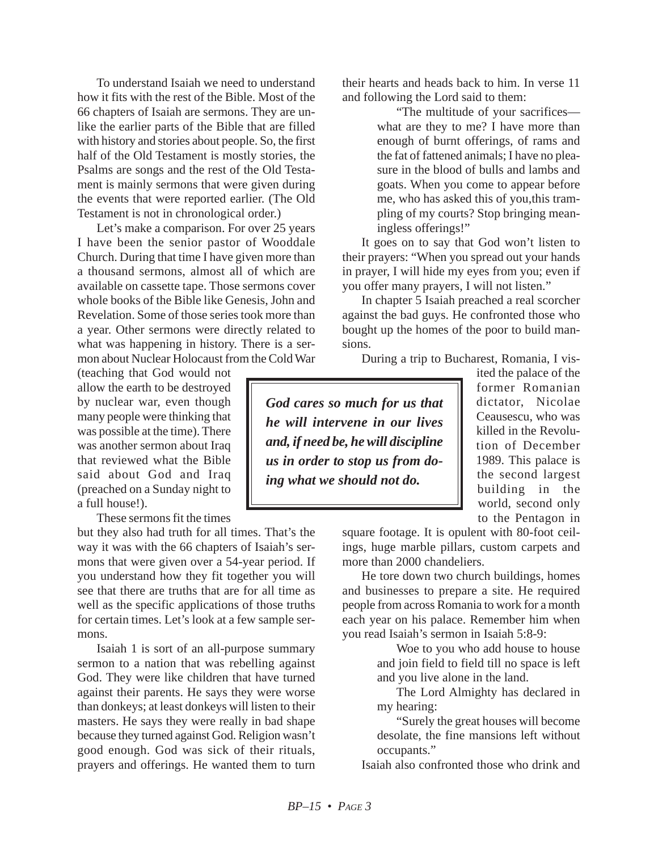To understand Isaiah we need to understand how it fits with the rest of the Bible. Most of the 66 chapters of Isaiah are sermons. They are unlike the earlier parts of the Bible that are filled with history and stories about people. So, the first half of the Old Testament is mostly stories, the Psalms are songs and the rest of the Old Testament is mainly sermons that were given during the events that were reported earlier. (The Old Testament is not in chronological order.)

Let's make a comparison. For over 25 years I have been the senior pastor of Wooddale Church. During that time I have given more than a thousand sermons, almost all of which are available on cassette tape. Those sermons cover whole books of the Bible like Genesis, John and Revelation. Some of those series took more than a year. Other sermons were directly related to what was happening in history. There is a sermon about Nuclear Holocaust from the Cold War

(teaching that God would not allow the earth to be destroyed by nuclear war, even though many people were thinking that was possible at the time). There was another sermon about Iraq that reviewed what the Bible said about God and Iraq (preached on a Sunday night to a full house!).

These sermons fit the times

but they also had truth for all times. That's the way it was with the 66 chapters of Isaiah's sermons that were given over a 54-year period. If you understand how they fit together you will see that there are truths that are for all time as well as the specific applications of those truths for certain times. Let's look at a few sample sermons.

Isaiah 1 is sort of an all-purpose summary sermon to a nation that was rebelling against God. They were like children that have turned against their parents. He says they were worse than donkeys; at least donkeys will listen to their masters. He says they were really in bad shape because they turned against God. Religion wasn't good enough. God was sick of their rituals, prayers and offerings. He wanted them to turn their hearts and heads back to him. In verse 11 and following the Lord said to them:

> "The multitude of your sacrifices what are they to me? I have more than enough of burnt offerings, of rams and the fat of fattened animals; I have no pleasure in the blood of bulls and lambs and goats. When you come to appear before me, who has asked this of you,this trampling of my courts? Stop bringing meaningless offerings!"

It goes on to say that God won't listen to their prayers: "When you spread out your hands in prayer, I will hide my eyes from you; even if you offer many prayers, I will not listen."

In chapter 5 Isaiah preached a real scorcher against the bad guys. He confronted those who bought up the homes of the poor to build mansions.

During a trip to Bucharest, Romania, I vis-

*God cares so much for us that he will intervene in our lives and, if need be, he will discipline us in order to stop us from doing what we should not do.*

ited the palace of the former Romanian dictator, Nicolae Ceausescu, who was killed in the Revolution of December 1989. This palace is the second largest building in the world, second only to the Pentagon in

square footage. It is opulent with 80-foot ceilings, huge marble pillars, custom carpets and more than 2000 chandeliers.

He tore down two church buildings, homes and businesses to prepare a site. He required people from across Romania to work for a month each year on his palace. Remember him when you read Isaiah's sermon in Isaiah 5:8-9:

> Woe to you who add house to house and join field to field till no space is left and you live alone in the land.

> The Lord Almighty has declared in my hearing:

> "Surely the great houses will become desolate, the fine mansions left without occupants."

Isaiah also confronted those who drink and